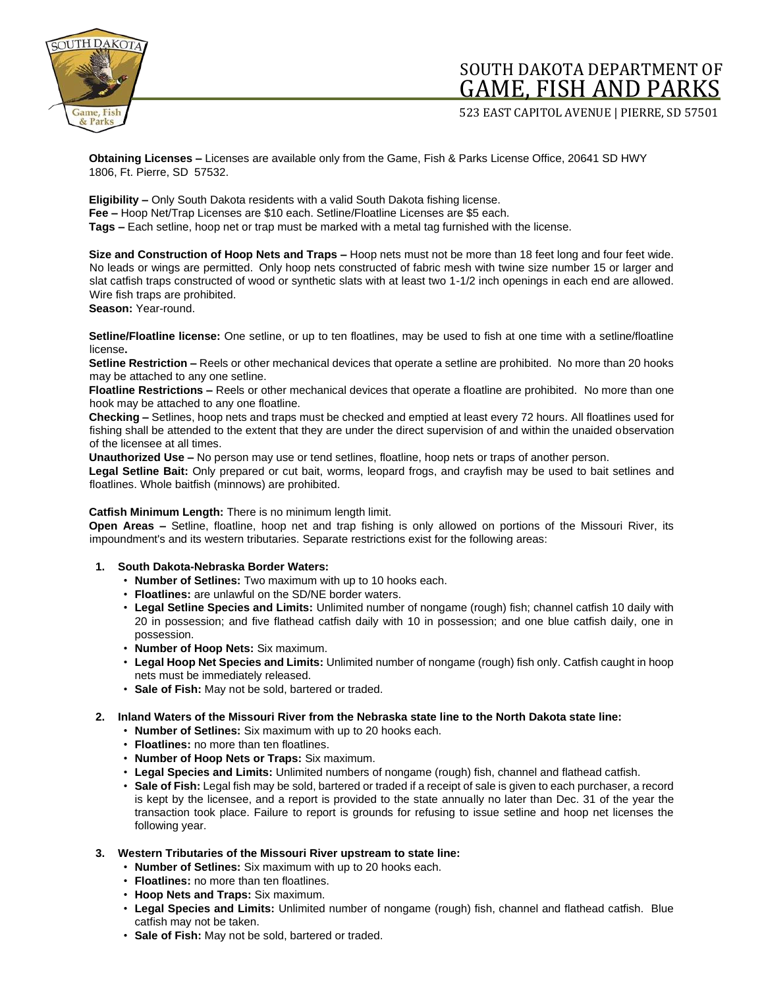

## SOUTH DAKOTA DEPARTMENT OF GAME, FISH AND PARKS

523 EAST CAPITOL AVENUE | PIERRE, SD 57501

**Obtaining Licenses –** Licenses are available only from the Game, Fish & Parks License Office, 20641 SD HWY 1806, Ft. Pierre, SD 57532.

**Eligibility –** Only South Dakota residents with a valid South Dakota fishing license. **Fee –** Hoop Net/Trap Licenses are \$10 each. Setline/Floatline Licenses are \$5 each. **Tags –** Each setline, hoop net or trap must be marked with a metal tag furnished with the license.

**Size and Construction of Hoop Nets and Traps –** Hoop nets must not be more than 18 feet long and four feet wide. No leads or wings are permitted. Only hoop nets constructed of fabric mesh with twine size number 15 or larger and slat catfish traps constructed of wood or synthetic slats with at least two 1-1/2 inch openings in each end are allowed. Wire fish traps are prohibited.

**Season:** Year-round.

**Setline/Floatline license:** One setline, or up to ten floatlines, may be used to fish at one time with a setline/floatline license**.**

**Setline Restriction –** Reels or other mechanical devices that operate a setline are prohibited. No more than 20 hooks may be attached to any one setline.

**Floatline Restrictions –** Reels or other mechanical devices that operate a floatline are prohibited. No more than one hook may be attached to any one floatline.

**Checking –** Setlines, hoop nets and traps must be checked and emptied at least every 72 hours. All floatlines used for fishing shall be attended to the extent that they are under the direct supervision of and within the unaided observation of the licensee at all times.

**Unauthorized Use –** No person may use or tend setlines, floatline, hoop nets or traps of another person.

**Legal Setline Bait:** Only prepared or cut bait, worms, leopard frogs, and crayfish may be used to bait setlines and floatlines. Whole baitfish (minnows) are prohibited.

## **Catfish Minimum Length:** There is no minimum length limit.

**Open Areas –** Setline, floatline, hoop net and trap fishing is only allowed on portions of the Missouri River, its impoundment's and its western tributaries. Separate restrictions exist for the following areas:

## **1. South Dakota-Nebraska Border Waters:**

- **Number of Setlines:** Two maximum with up to 10 hooks each.
- **Floatlines:** are unlawful on the SD/NE border waters.
- **Legal Setline Species and Limits:** Unlimited number of nongame (rough) fish; channel catfish 10 daily with 20 in possession; and five flathead catfish daily with 10 in possession; and one blue catfish daily, one in possession.
- **Number of Hoop Nets:** Six maximum.
- **Legal Hoop Net Species and Limits:** Unlimited number of nongame (rough) fish only. Catfish caught in hoop nets must be immediately released.
- **Sale of Fish:** May not be sold, bartered or traded.
- **2. Inland Waters of the Missouri River from the Nebraska state line to the North Dakota state line:** 
	- **Number of Setlines:** Six maximum with up to 20 hooks each.
	- **Floatlines:** no more than ten floatlines.
	- **Number of Hoop Nets or Traps:** Six maximum.
	- **Legal Species and Limits:** Unlimited numbers of nongame (rough) fish, channel and flathead catfish.
	- **Sale of Fish:** Legal fish may be sold, bartered or traded if a receipt of sale is given to each purchaser, a record is kept by the licensee, and a report is provided to the state annually no later than Dec. 31 of the year the transaction took place. Failure to report is grounds for refusing to issue setline and hoop net licenses the following year.
- **3. Western Tributaries of the Missouri River upstream to state line:** 
	- **Number of Setlines:** Six maximum with up to 20 hooks each.
	- **Floatlines:** no more than ten floatlines.
	- **Hoop Nets and Traps:** Six maximum.
	- **Legal Species and Limits:** Unlimited number of nongame (rough) fish, channel and flathead catfish. Blue catfish may not be taken.
	- **Sale of Fish:** May not be sold, bartered or traded.